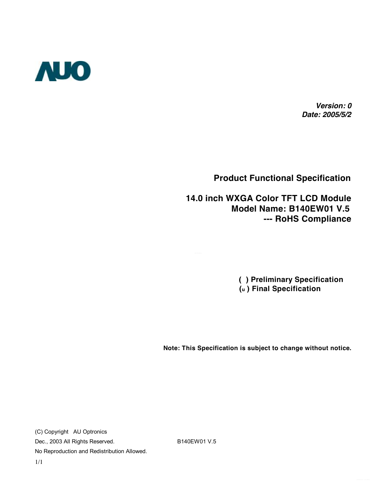

*Version: 0 Date: 2005/5/2*

**Product Functional Specification** 

 **14.0 inch WXGA Color TFT LCD Module Model Name: B140EW01 V.5 --- RoHS Compliance** 

> **( ) Preliminary Specification (u ) Final Specification**

**Note: This Specification is subject to change without notice.**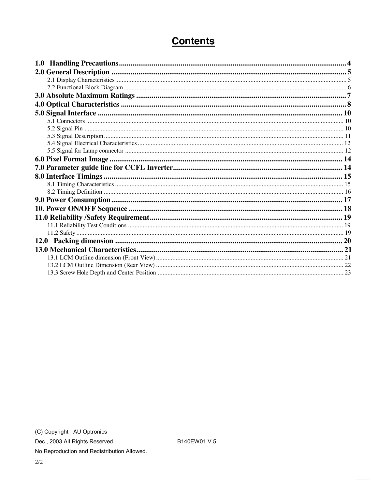## **Contents**

B140EW01 V.5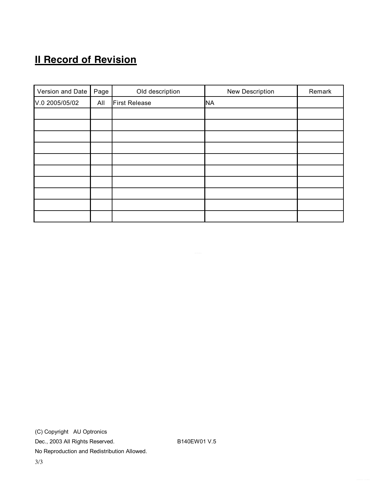# **II Record of Revision**

| Version and Date | Page | Old description      | New Description | Remark |
|------------------|------|----------------------|-----------------|--------|
| V.0 2005/05/02   | All  | <b>First Release</b> | <b>NA</b>       |        |
|                  |      |                      |                 |        |
|                  |      |                      |                 |        |
|                  |      |                      |                 |        |
|                  |      |                      |                 |        |
|                  |      |                      |                 |        |
|                  |      |                      |                 |        |
|                  |      |                      |                 |        |
|                  |      |                      |                 |        |
|                  |      |                      |                 |        |
|                  |      |                      |                 |        |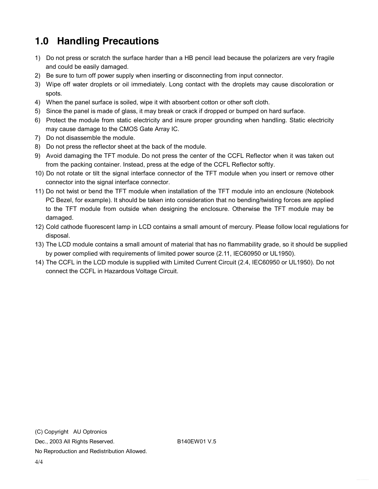## **1.0 Handling Precautions**

- 1) Do not press or scratch the surface harder than a HB pencil lead because the polarizers are very fragile and could be easily damaged.
- 2) Be sure to turn off power supply when inserting or disconnecting from input connector.
- 3) Wipe off water droplets or oil immediately. Long contact with the droplets may cause discoloration or spots.
- 4) When the panel surface is soiled, wipe it with absorbent cotton or other soft cloth.
- 5) Since the panel is made of glass, it may break or crack if dropped or bumped on hard surface.
- 6) Protect the module from static electricity and insure proper grounding when handling. Static electricity may cause damage to the CMOS Gate Array IC.
- 7) Do not disassemble the module.
- 8) Do not press the reflector sheet at the back of the module.
- 9) Avoid damaging the TFT module. Do not press the center of the CCFL Reflector when it was taken out from the packing container. Instead, press at the edge of the CCFL Reflector softly.
- 10) Do not rotate or tilt the signal interface connector of the TFT module when you insert or remove other connector into the signal interface connector.
- 11) Do not twist or bend the TFT module when installation of the TFT module into an enclosure (Notebook PC Bezel, for example). It should be taken into consideration that no bending/twisting forces are applied to the TFT module from outside when designing the enclosure. Otherwise the TFT module may be damaged.
- 12) Cold cathode fluorescent lamp in LCD contains a small amount of mercury. Please follow local regulations for disposal.
- 13) The LCD module contains a small amount of material that has no flammability grade, so it should be supplied by power complied with requirements of limited power source (2.11, IEC60950 or UL1950).
- 14) The CCFL in the LCD module is supplied with Limited Current Circuit (2.4, IEC60950 or UL1950). Do not connect the CCFL in Hazardous Voltage Circuit.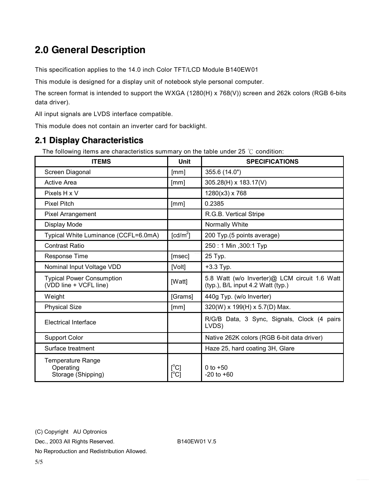## **2.0 General Description**

This specification applies to the 14.0 inch Color TFT/LCD Module B140EW01

This module is designed for a display unit of notebook style personal computer.

The screen format is intended to support the WXGA (1280(H) x 768(V)) screen and 262k colors (RGB 6-bits data driver).

All input signals are LVDS interface compatible.

This module does not contain an inverter card for backlight.

#### **2.1 Display Characteristics**

The following items are characteristics summary on the table under 25 ℃ condition:

| <b>ITEMS</b>                                                | Unit                                                     | <b>SPECIFICATIONS</b>                                                              |
|-------------------------------------------------------------|----------------------------------------------------------|------------------------------------------------------------------------------------|
| Screen Diagonal                                             | [mm]                                                     | 355.6 (14.0")                                                                      |
| Active Area                                                 | [mm]                                                     | 305.28(H) x 183.17(V)                                                              |
| Pixels H x V                                                |                                                          | 1280(x3) x 768                                                                     |
| <b>Pixel Pitch</b>                                          | [mm]                                                     | 0.2385                                                                             |
| <b>Pixel Arrangement</b>                                    |                                                          | R.G.B. Vertical Stripe                                                             |
| Display Mode                                                |                                                          | Normally White                                                                     |
| Typical White Luminance (CCFL=6.0mA)                        | $\lceil cd/m^2 \rceil$                                   | 200 Typ.(5 points average)                                                         |
| <b>Contrast Ratio</b>                                       |                                                          | 250: 1 Min , 300: 1 Typ                                                            |
| Response Time                                               | [msec]                                                   | 25 Typ.                                                                            |
| Nominal Input Voltage VDD                                   | [Volt]                                                   | $+3.3$ Typ.                                                                        |
| <b>Typical Power Consumption</b><br>(VDD line + VCFL line)  | [Watt]                                                   | 5.8 Watt (w/o Inverter)@ LCM circuit 1.6 Watt<br>(typ.), B/L input 4.2 Watt (typ.) |
| Weight                                                      | [Grams]                                                  | 440g Typ. (w/o Inverter)                                                           |
| <b>Physical Size</b>                                        | [mm]                                                     | 320(W) x 199(H) x 5.7(D) Max.                                                      |
| Electrical Interface                                        |                                                          | R/G/B Data, 3 Sync, Signals, Clock (4 pairs<br>LVDS)                               |
| <b>Support Color</b>                                        |                                                          | Native 262K colors (RGB 6-bit data driver)                                         |
| Surface treatment                                           |                                                          | Haze 25, hard coating 3H, Glare                                                    |
| <b>Temperature Range</b><br>Operating<br>Storage (Shipping) | $\mathsf{I}^\circ\mathsf{C} \mathsf{I}$<br>$[^{\circ}C]$ | 0 to $+50$<br>$-20$ to $+60$                                                       |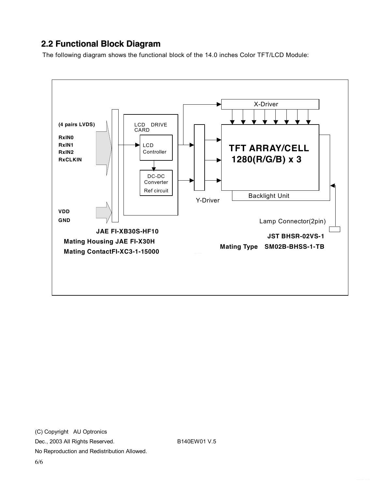### **2.2 Functional Block Diagram**

The following diagram shows the functional block of the 14.0 inches Color TFT/LCD Module:

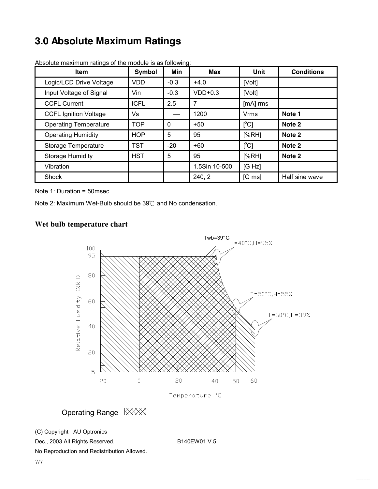## **3.0 Absolute Maximum Ratings**

| <b>Item</b>                  | Symbol      | Min         | <b>Max</b>    | <b>Unit</b>              | <b>Conditions</b> |
|------------------------------|-------------|-------------|---------------|--------------------------|-------------------|
| Logic/LCD Drive Voltage      | <b>VDD</b>  | $-0.3$      | $+4.0$        | [Volt]                   |                   |
| Input Voltage of Signal      | Vin         | $-0.3$      | $VDD+0.3$     | [Volt]                   |                   |
| <b>CCFL Current</b>          | <b>ICFL</b> | 2.5         | 7             | [mA] rms                 |                   |
| <b>CCFL Ignition Voltage</b> | Vs          |             | 1200          | <b>Vrms</b>              | Note 1            |
| <b>Operating Temperature</b> | <b>TOP</b>  | $\mathbf 0$ | $+50$         | $\Gamma$ <sup>o</sup> Cl | Note 2            |
| <b>Operating Humidity</b>    | <b>HOP</b>  | 5           | 95            | [%RH]                    | Note 2            |
| Storage Temperature          | <b>TST</b>  | $-20$       | $+60$         | $\Gamma$ <sup>o</sup> Cl | Note 2            |
| <b>Storage Humidity</b>      | <b>HST</b>  | 5           | 95            | [%RH]                    | Note 2            |
| Vibration                    |             |             | 1.5Sin 10-500 | [G Hz]                   |                   |
| Shock                        |             |             | 240, 2        | $[G \, ms]$              | Half sine wave    |

Absolute maximum ratings of the module is as following:

Note 1: Duration = 50msec

Note 2: Maximum Wet-Bulb should be 39℃ and No condensation.

#### **Wet bulb temperature chart**



Operating Range XXX

Dec., 2003 All Rights Reserved. B140EW01 V.5

<sup>(</sup>C) Copyright AU Optronics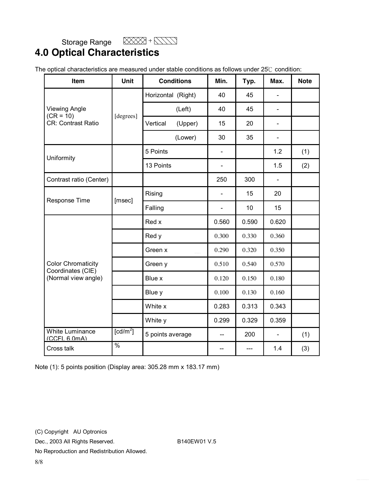$\boxtimes$  +  $\boxtimes$  +  $\boxtimes$ 

### Storage Range **4.0 Optical Characteristics**

| Item                                           | <b>Unit</b>            | <b>Conditions</b>  |         | Min.                         | Typ.  | Max.           | <b>Note</b> |
|------------------------------------------------|------------------------|--------------------|---------|------------------------------|-------|----------------|-------------|
|                                                |                        | Horizontal (Right) |         | 40                           | 45    |                |             |
| <b>Viewing Angle</b><br>$(CR = 10)$            |                        |                    | (Left)  | 40                           | 45    | $\blacksquare$ |             |
| CR: Contrast Ratio                             | [degrees]              | Vertical           | (Upper) | 15                           | 20    | ÷,             |             |
|                                                |                        |                    | (Lower) | 30                           | 35    | $\blacksquare$ |             |
| Uniformity                                     |                        | 5 Points           |         | ÷,                           |       | 1.2            | (1)         |
|                                                |                        | 13 Points          |         | -                            |       | 1.5            | (2)         |
| Contrast ratio (Center)                        |                        |                    |         | 250                          | 300   | $\blacksquare$ |             |
| Response Time                                  |                        | Rising             |         | $\qquad \qquad \blacksquare$ | 15    | 20             |             |
|                                                | [msec]                 | Falling            |         | $\overline{\phantom{0}}$     | 10    | 15             |             |
|                                                |                        | Red x              |         | 0.560                        | 0.590 | 0.620          |             |
|                                                |                        | Red y              |         | 0.300                        | 0.330 | 0.360          |             |
|                                                |                        | Green x            |         | 0.290                        | 0.320 | 0.350          |             |
| <b>Color Chromaticity</b><br>Coordinates (CIE) |                        | Green y            |         | 0.510                        | 0.540 | 0.570          |             |
| (Normal view angle)                            |                        | Blue x             |         | 0.120                        | 0.150 | 0.180          |             |
|                                                |                        | Blue y             |         | 0.100                        | 0.130 | 0.160          |             |
|                                                |                        | White x            |         | 0.283                        | 0.313 | 0.343          |             |
|                                                |                        | White y            |         | 0.299                        | 0.329 | 0.359          |             |
| <b>White Luminance</b><br>(CCFL 6.0mA)         | $\lceil cd/m^2 \rceil$ | 5 points average   |         | --                           | 200   | $\blacksquare$ | (1)         |
| Cross talk                                     | $\%$                   |                    |         |                              |       | 1.4            | (3)         |

Note (1): 5 points position (Display area: 305.28 mm x 183.17 mm)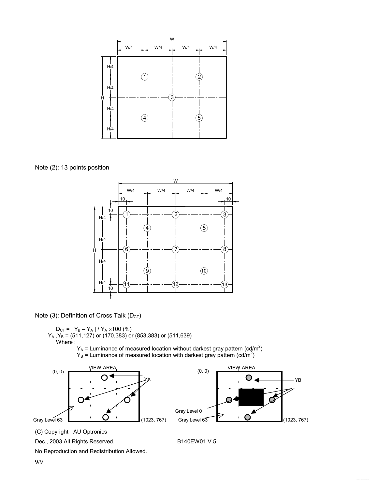

Note (2): 13 points position



Note (3): Definition of Cross Talk ( $D_{CT}$ )

 $D_{CT}$  = | Y<sub>B</sub> – Y<sub>A</sub> | / Y<sub>A</sub> × 100 (%)  $Y_A$  , $Y_B$  = (511,127) or (170,383) or (853,383) or (511,639) Where :  $Y_A$  = Luminance of measured location without darkest gray pattern (cd/m<sup>2</sup>)

 $Y_B$  = Luminance of measured location with darkest gray pattern (cd/m<sup>2</sup>)





(C) Copyright AU Optronics

Dec., 2003 All Rights Reserved. B140EW01 V.5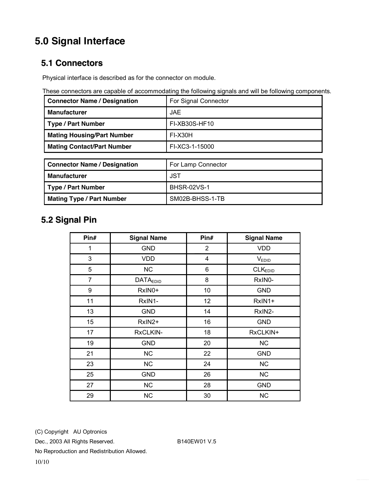## **5.0 Signal Interface**

#### **5.1 Connectors**

Physical interface is described as for the connector on module.

These connectors are capable of accommodating the following signals and will be following components.

| <b>Connector Name / Designation</b> | For Signal Connector |
|-------------------------------------|----------------------|
| <b>Manufacturer</b>                 | <b>JAE</b>           |
| <b>Type / Part Number</b>           | FI-XB30S-HF10        |
| <b>Mating Housing/Part Number</b>   | <b>FI-X30H</b>       |
| <b>Mating Contact/Part Number</b>   | FI-XC3-1-15000       |
|                                     |                      |
| <b>Connector Name / Designation</b> | For Lamp Connector   |
| <b>Manufacturer</b>                 | <b>JST</b>           |
| <b>Type / Part Number</b>           | <b>BHSR-02VS-1</b>   |
| <b>Mating Type / Part Number</b>    | SM02B-BHSS-1-TB      |

### **5.2 Signal Pin**

| Pin#           | <b>Signal Name</b> | Pin#                    | <b>Signal Name</b>  |
|----------------|--------------------|-------------------------|---------------------|
| 1              | <b>GND</b>         | $\overline{2}$          | <b>VDD</b>          |
| 3              | <b>VDD</b>         | $\overline{\mathbf{4}}$ | V <sub>EDID</sub>   |
| 5              | <b>NC</b>          | 6                       | CLK <sub>EDID</sub> |
| $\overline{7}$ | <b>DATAEDID</b>    | 8                       | RxIN0-              |
| 9              | RxIN0+             | 10                      | <b>GND</b>          |
| 11             | RxIN1-             | 12                      | RxIN1+              |
| 13             | <b>GND</b>         | 14                      | RxIN2-              |
| 15             | RxIN2+             | 16                      | <b>GND</b>          |
| 17             | RxCLKIN-           | 18                      | RxCLKIN+            |
| 19             | <b>GND</b>         | 20                      | <b>NC</b>           |
| 21             | <b>NC</b>          | 22                      | <b>GND</b>          |
| 23             | <b>NC</b>          | 24                      | NC                  |
| 25             | <b>GND</b>         | 26                      | <b>NC</b>           |
| 27             | <b>NC</b>          | 28                      | <b>GND</b>          |
| 29             | <b>NC</b>          | 30                      | <b>NC</b>           |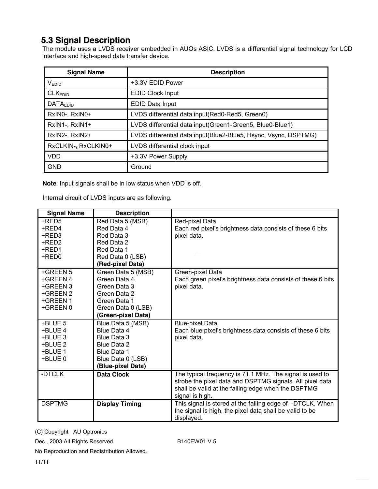#### **5.3 Signal Description**

The module uses a LVDS receiver embedded in AUO's ASIC. LVDS is a differential signal technology for LCD interface and high-speed data transfer device.

| <b>Signal Name</b>  | <b>Description</b>                                              |
|---------------------|-----------------------------------------------------------------|
| V <sub>EDID</sub>   | +3.3V EDID Power                                                |
| CLK <sub>EDID</sub> | <b>EDID Clock Input</b>                                         |
| <b>DATAEDID</b>     | EDID Data Input                                                 |
| RxINO-, RxINO+      | LVDS differential data input(Red0-Red5, Green0)                 |
| RxIN1-, RxIN1+      | LVDS differential data input(Green1-Green5, Blue0-Blue1)        |
| RxIN2-, RxIN2+      | LVDS differential data input(Blue2-Blue5, Hsync, Vsync, DSPTMG) |
| RxCLKIN-, RxCLKIN0+ | LVDS differential clock input                                   |
| <b>VDD</b>          | +3.3V Power Supply                                              |
| <b>GND</b>          | Ground                                                          |

**Note**: Input signals shall be in low status when VDD is off.

Internal circuit of LVDS inputs are as following.

| <b>Signal Name</b> | <b>Description</b>    |                                                             |
|--------------------|-----------------------|-------------------------------------------------------------|
| +RED5              | Red Data 5 (MSB)      | Red-pixel Data                                              |
| +RED4              | Red Data 4            | Each red pixel's brightness data consists of these 6 bits   |
| +RED3              | Red Data 3            | pixel data.                                                 |
| +RED2              | Red Data 2            |                                                             |
| +RED1              | Red Data 1            |                                                             |
| +RED0              | Red Data 0 (LSB)      |                                                             |
|                    | (Red-pixel Data)      |                                                             |
| +GREEN 5           | Green Data 5 (MSB)    | Green-pixel Data                                            |
| +GREEN 4           | Green Data 4          | Each green pixel's brightness data consists of these 6 bits |
| +GREEN 3           | Green Data 3          | pixel data.                                                 |
| +GREEN 2           | Green Data 2          |                                                             |
| +GREEN 1           | Green Data 1          |                                                             |
| +GREEN 0           | Green Data 0 (LSB)    |                                                             |
|                    | (Green-pixel Data)    |                                                             |
| +BLUE 5            | Blue Data 5 (MSB)     | <b>Blue-pixel Data</b>                                      |
| +BLUE 4            | Blue Data 4           | Each blue pixel's brightness data consists of these 6 bits  |
| +BLUE 3            | Blue Data 3           | pixel data.                                                 |
| +BLUE 2            | Blue Data 2           |                                                             |
| +BLUE 1            | Blue Data 1           |                                                             |
| +BLUE 0            | Blue Data 0 (LSB)     |                                                             |
|                    | (Blue-pixel Data)     |                                                             |
| -DTCLK             | <b>Data Clock</b>     | The typical frequency is 71.1 MHz. The signal is used to    |
|                    |                       | strobe the pixel data and DSPTMG signals. All pixel data    |
|                    |                       | shall be valid at the falling edge when the DSPTMG          |
|                    |                       | signal is high.                                             |
| <b>DSPTMG</b>      | <b>Display Timing</b> | This signal is stored at the falling edge of -DTCLK. When   |
|                    |                       | the signal is high, the pixel data shall be valid to be     |
|                    |                       | displayed.                                                  |

(C) Copyright AU Optronics

Dec., 2003 All Rights Reserved. B140EW01 V.5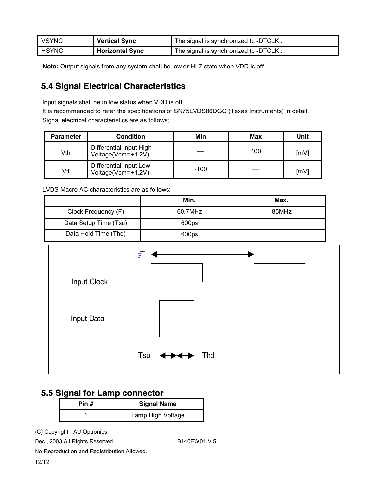| <b>VSYNC</b> | <b>Vertical Sync</b>   | The signal is synchronized to -DTCLK. |
|--------------|------------------------|---------------------------------------|
| <b>HSYNC</b> | <b>Horizontal Sync</b> | The signal is synchronized to -DTCLK. |

**Note:** Output signals from any system shall be low or Hi-Z state when VDD is off.

#### **5.4 Signal Electrical Characteristics**

Input signals shall be in low status when VDD is off.

It is recommended to refer the specifications of SN75LVDS86DGG (Texas Instruments) in detail. Signal electrical characteristics are as follows;

| <b>Parameter</b> | <b>Condition</b>                              | Min    | Max | Unit |
|------------------|-----------------------------------------------|--------|-----|------|
| Vth              | Differential Input High<br>Voltage(Vcm=+1.2V) |        | 100 | [mV] |
| Vtl              | Differential Input Low<br>Voltage(Vcm=+1.2V)  | $-100$ |     | [mV] |

LVDS Macro AC characteristics are as follows:

|                       | Min.    | Max.  |
|-----------------------|---------|-------|
| Clock Frequency (F)   | 60.7MHz | 85MHz |
| Data Setup Time (Tsu) | 600ps   |       |
| Data Hold Time (Thd)  | 600ps   |       |



#### **5.5 Signal for Lamp connector**

| Pin # | <b>Signal Name</b> |
|-------|--------------------|
|       | Lamp High Voltage  |

(C) Copyright AU Optronics

Dec., 2003 All Rights Reserved. B140EW01 V.5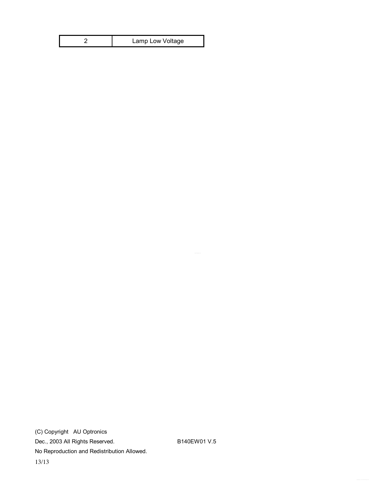| Lamp Low Voltage |
|------------------|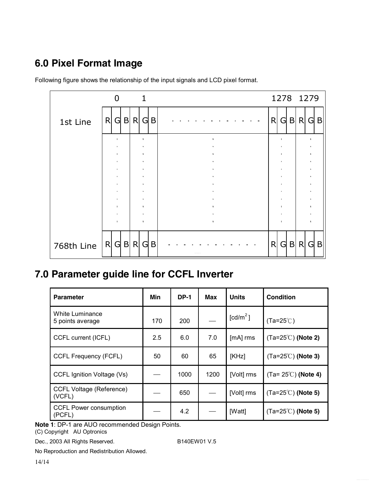## **6.0 Pixel Format Image**

|            |         | $\overline{0}$ |  | $\mathbf{1}$ |     |   |     | 1278 1279 |         |  |
|------------|---------|----------------|--|--------------|-----|---|-----|-----------|---------|--|
| 1st Line   | R       | $G$ B R        |  |              | G B | R | G B |           | $R$ G B |  |
|            |         |                |  |              |     |   |     |           |         |  |
|            |         |                |  |              |     |   |     |           |         |  |
|            |         |                |  |              |     |   |     |           |         |  |
|            |         |                |  |              |     |   |     |           |         |  |
|            |         |                |  |              |     |   |     |           |         |  |
|            |         |                |  |              |     |   |     |           |         |  |
|            |         |                |  |              |     |   |     |           |         |  |
| 768th Line | R G B R |                |  |              | G B | R | G B |           | $R$ G B |  |

Following figure shows the relationship of the input signals and LCD pixel format.

## **7.0 Parameter guide line for CCFL Inverter**

| <b>Parameter</b>                          | Min | <b>DP-1</b> | Max  | <b>Units</b>         | <b>Condition</b>                   |
|-------------------------------------------|-----|-------------|------|----------------------|------------------------------------|
| White Luminance<br>5 points average       | 170 | 200         |      | [cd/m <sup>2</sup> ] | $(Ta=25^{\circ}C)$                 |
| CCFL current (ICFL)                       | 2.5 | 6.0         | 7.0  | $[mA]$ rms           | $(Ta=25^{\circ}C)$ (Note 2)        |
| <b>CCFL Frequency (FCFL)</b>              | 50  | 60          | 65   | [KHz]                | $(Ta=25^{\circ}C)$ (Note 3)        |
| CCFL Ignition Voltage (Vs)                |     | 1000        | 1200 | [Volt] rms           | $(Ta=25^{\circ}\text{C})$ (Note 4) |
| <b>CCFL Voltage (Reference)</b><br>(VCFL) |     | 650         |      | [Volt] rms           | $(Ta=25^{\circ}C)$ (Note 5)        |
| <b>CCFL Power consumption</b><br>(PCFL)   |     | 4.2         |      | [Watt]               | $(Ta=25^{\circ}C)$ (Note 5)        |

**Note 1**: DP-1 are AUO recommended Design Points.

(C) Copyright AU Optronics

Dec., 2003 All Rights Reserved. B140EW01 V.5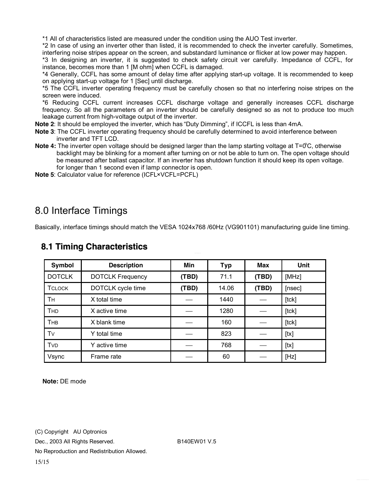\*1 All of characteristics listed are measured under the condition using the AUO Test inverter.

\*2 In case of using an inverter other than listed, it is recommended to check the inverter carefully. Sometimes, interfering noise stripes appear on the screen, and substandard luminance or flicker at low power may happen.

\*3 In designing an inverter, it is suggested to check safety circuit ver carefully. Impedance of CCFL, for instance, becomes more than 1 [M ohm] when CCFL is damaged.

\*4 Generally, CCFL has some amount of delay time after applying start-up voltage. It is recommended to keep on applying start-up voltage for 1 [Sec] until discharge.

\*5 The CCFL inverter operating frequency must be carefully chosen so that no interfering noise stripes on the screen were induced.

\*6 Reducing CCFL current increases CCFL discharge voltage and generally increases CCFL discharge frequency. So all the parameters of an inverter should be carefully designed so as not to produce too much leakage current from high-voltage output of the inverter.

**Note 2**: It should be employed the inverter, which has "Duty Dimming", if ICCFL is less than 4mA.

- **Note 3**: The CCFL inverter operating frequency should be carefully determined to avoid interference between inverter and TFT LCD.
- Note 4: The inverter open voltage should be designed larger than the lamp starting voltage at T=0°C, otherwise backlight may be blinking for a moment after turning on or not be able to turn on. The open voltage should be measured after ballast capacitor. If an inverter has shutdown function it should keep its open voltage. for longer than 1 second even if lamp connector is open.
- **Note 5**: Calculator value for reference (ICFL×VCFL=PCFL)

### 8.0 Interface Timings

Basically, interface timings should match the VESA 1024x768 /60Hz (VG901101) manufacturing guide line timing.

| <b>Symbol</b> | <b>Description</b>      | Min   | <b>Typ</b> | <b>Max</b> | <b>Unit</b> |
|---------------|-------------------------|-------|------------|------------|-------------|
| <b>DOTCLK</b> | <b>DOTCLK Frequency</b> | (TBD) | 71.1       | (TBD)      | [MHz]       |
| <b>TCLOCK</b> | DOTCLK cycle time       | (TBD) | 14.06      | (TBD)      | [nsec]      |
| Тн            | X total time            |       | 1440       |            | [tck]       |
| <b>THD</b>    | X active time           |       | 1280       |            | [tck]       |
| THB           | X blank time            |       | 160        |            | [tck]       |
| Tv            | Y total time            |       | 823        |            | [tx]        |
| <b>TVD</b>    | Y active time           |       | 768        |            | [tx]        |
| Vsync         | Frame rate              |       | 60         |            | [Hz]        |

#### **8.1 Timing Characteristics**

**Note:** DE mode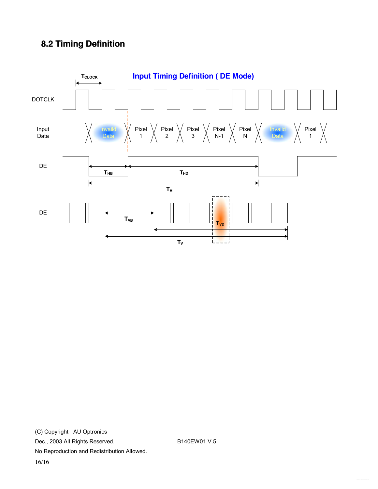### **8.2 Timing Definition**

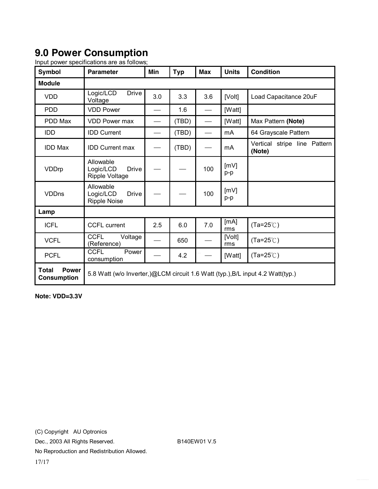## **9.0 Power Consumption**

| <b>Symbol</b>                                      | <b>Parameter</b>                                                               | Min | <b>Typ</b> | <b>Max</b> | <b>Units</b>   | <b>Condition</b>                       |  |
|----------------------------------------------------|--------------------------------------------------------------------------------|-----|------------|------------|----------------|----------------------------------------|--|
| <b>Module</b>                                      |                                                                                |     |            |            |                |                                        |  |
| <b>VDD</b>                                         | Logic/LCD<br><b>Drive</b><br>Voltage                                           | 3.0 | 3.3        | 3.6        | [Volt]         | Load Capacitance 20uF                  |  |
| <b>PDD</b>                                         | <b>VDD Power</b>                                                               |     | 1.6        |            | [Watt]         |                                        |  |
| PDD Max                                            | <b>VDD Power max</b>                                                           |     | (TBD)      |            | [Watt]         | Max Pattern (Note)                     |  |
| <b>IDD</b>                                         | <b>IDD Current</b>                                                             |     | (TBD)      |            | mA             | 64 Grayscale Pattern                   |  |
| <b>IDD Max</b>                                     | <b>IDD Current max</b>                                                         |     | (TBD)      |            | m <sub>A</sub> | Vertical stripe line Pattern<br>(Note) |  |
| VDDrp                                              | Allowable<br>Logic/LCD<br><b>Drive</b><br><b>Ripple Voltage</b>                |     |            | 100        | [mV]<br>p-p    |                                        |  |
| <b>VDDns</b>                                       | Allowable<br>Logic/LCD<br><b>Drive</b><br><b>Ripple Noise</b>                  |     |            | 100        | [mV]<br>p-p    |                                        |  |
| Lamp                                               |                                                                                |     |            |            |                |                                        |  |
| <b>ICFL</b>                                        | <b>CCFL current</b>                                                            | 2.5 | 6.0        | 7.0        | [mA]<br>rms    | $(Ta=25^{\circ}C)$                     |  |
| <b>VCFL</b>                                        | <b>CCFL</b><br>Voltage<br>(Reference)                                          |     | 650        |            | [Volt]<br>rms  | $(Ta=25^{\circ}C)$                     |  |
| <b>PCFL</b>                                        | <b>CCFL</b><br>Power<br>consumption                                            |     | 4.2        |            | [Watt]         | $(Ta=25^{\circ}C)$                     |  |
| <b>Power</b><br><b>Total</b><br><b>Consumption</b> | 5.8 Watt (w/o Inverter,)@LCM circuit 1.6 Watt (typ.), B/L input 4.2 Watt(typ.) |     |            |            |                |                                        |  |

Input power specifications are as follows;

**Note: VDD=3.3V**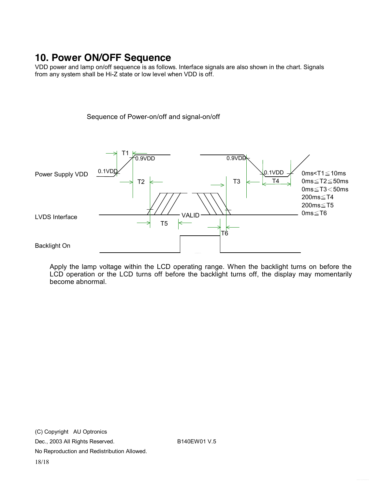## **10. Power ON/OFF Sequence**

VDD power and lamp on/off sequence is as follows. Interface signals are also shown in the chart. Signals from any system shall be Hi-Z state or low level when VDD is off.

Sequence of Power-on/off and signal-on/off



Apply the lamp voltage within the LCD operating range. When the backlight turns on before the LCD operation or the LCD turns off before the backlight turns off, the display may momentarily become abnormal.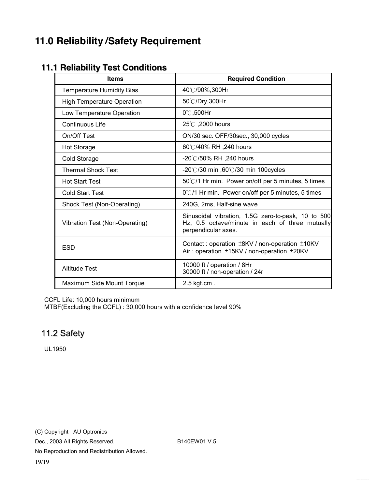## **11.0 Reliability /Safety Requirement**

### **11.1 Reliability Test Conditions**

| <b>Items</b>                      | <b>Required Condition</b>                                                                                                    |
|-----------------------------------|------------------------------------------------------------------------------------------------------------------------------|
| <b>Temperature Humidity Bias</b>  | 40℃/90%,300Hr                                                                                                                |
| <b>High Temperature Operation</b> | 50℃/Dry,300Hr                                                                                                                |
| Low Temperature Operation         | $0^\circ\text{C}$ ,500Hr                                                                                                     |
| Continuous Life                   | 25°C, 2000 hours                                                                                                             |
| On/Off Test                       | ON/30 sec. OFF/30sec., 30,000 cycles                                                                                         |
| <b>Hot Storage</b>                | 60℃/40% RH ,240 hours                                                                                                        |
| Cold Storage                      | -20℃/50% RH ,240 hours                                                                                                       |
| <b>Thermal Shock Test</b>         | -20°C/30 min ,60°C/30 min 100cycles                                                                                          |
| <b>Hot Start Test</b>             | 50°C/1 Hr min. Power on/off per 5 minutes, 5 times                                                                           |
| <b>Cold Start Test</b>            | $0^{\circ}$ C/1 Hr min. Power on/off per 5 minutes, 5 times                                                                  |
| Shock Test (Non-Operating)        | 240G, 2ms, Half-sine wave                                                                                                    |
| Vibration Test (Non-Operating)    | Sinusoidal vibration, 1.5G zero-to-peak, 10 to 500<br>Hz, 0.5 octave/minute in each of three mutually<br>perpendicular axes. |
| <b>ESD</b>                        | Contact: operation ±8KV / non-operation ±10KV<br>Air: operation ±15KV / non-operation ±20KV                                  |
| <b>Altitude Test</b>              | 10000 ft / operation / 8Hr<br>30000 ft / non-operation / 24r                                                                 |
| Maximum Side Mount Torque         | $2.5$ kgf.cm.                                                                                                                |

CCFL Life: 10,000 hours minimum

MTBF(Excluding the CCFL) : 30,000 hours with a confidence level 90%

#### 11.2 Safety

UL1950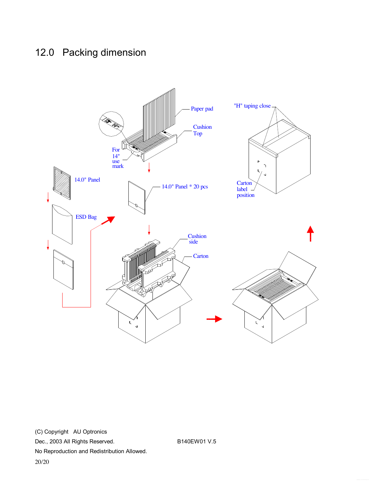## 12.0 Packing dimension

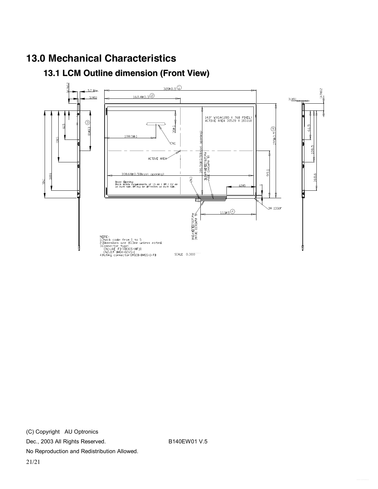### **13.0 Mechanical Characteristics**

### **13.1 LCM Outline dimension (Front View)**

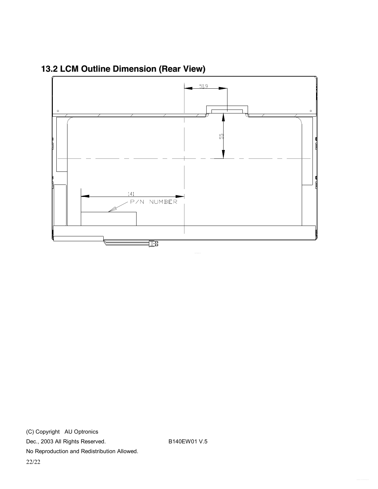

**13.2 LCM Outline Dimension (Rear View)**